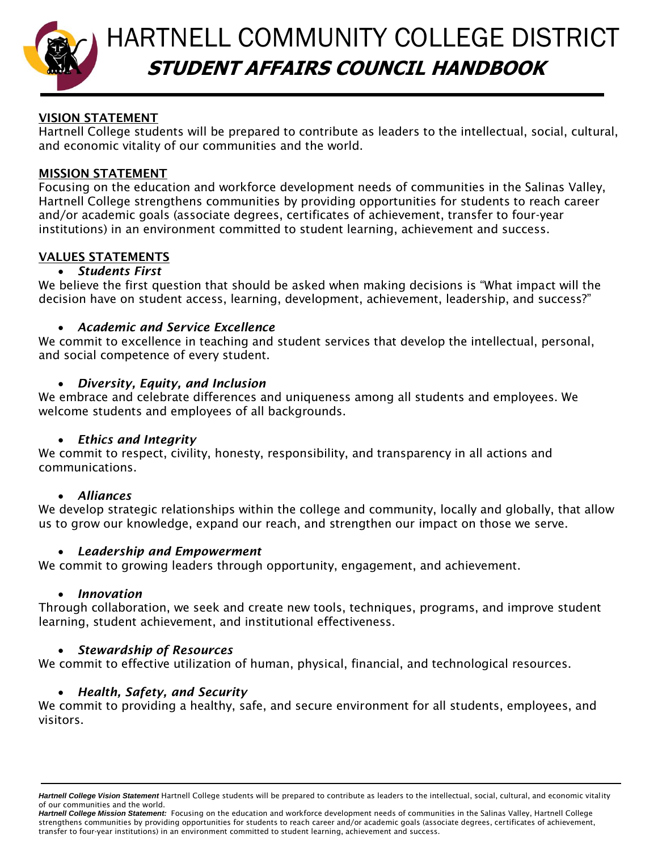

# HARTNELL COMMUNITY COLLEGE DISTRICT **STUDENT AFFAIRS COUNCIL HANDBOOK**

# **VISION STATEMENT**

Hartnell College students will be prepared to contribute as leaders to the intellectual, social, cultural, and economic vitality of our communities and the world.

## **MISSION STATEMENT**

Focusing on the education and workforce development needs of communities in the Salinas Valley, Hartnell College strengthens communities by providing opportunities for students to reach career and/or academic goals (associate degrees, certificates of achievement, transfer to four-year institutions) in an environment committed to student learning, achievement and success.

## **VALUES STATEMENTS**

## *Students First*

We believe the first question that should be asked when making decisions is "What impact will the decision have on student access, learning, development, achievement, leadership, and success?"

## *Academic and Service Excellence*

We commit to excellence in teaching and student services that develop the intellectual, personal, and social competence of every student.

## *Diversity, Equity, and Inclusion*

We embrace and celebrate differences and uniqueness among all students and employees. We welcome students and employees of all backgrounds.

## *Ethics and Integrity*

We commit to respect, civility, honesty, responsibility, and transparency in all actions and communications.

#### *Alliances*

We develop strategic relationships within the college and community, locally and globally, that allow us to grow our knowledge, expand our reach, and strengthen our impact on those we serve.

#### *Leadership and Empowerment*

We commit to growing leaders through opportunity, engagement, and achievement.

#### *Innovation*

Through collaboration, we seek and create new tools, techniques, programs, and improve student learning, student achievement, and institutional effectiveness.

## *Stewardship of Resources*

We commit to effective utilization of human, physical, financial, and technological resources.

## *Health, Safety, and Security*

We commit to providing a healthy, safe, and secure environment for all students, employees, and visitors.

*Hartnell College Vision Statement* Hartnell College students will be prepared to contribute as leaders to the intellectual, social, cultural, and economic vitality of our communities and the world.

*Hartnell College Mission Statement:* Focusing on the education and workforce development needs of communities in the Salinas Valley, Hartnell College strengthens communities by providing opportunities for students to reach career and/or academic goals (associate degrees, certificates of achievement, transfer to four-year institutions) in an environment committed to student learning, achievement and success.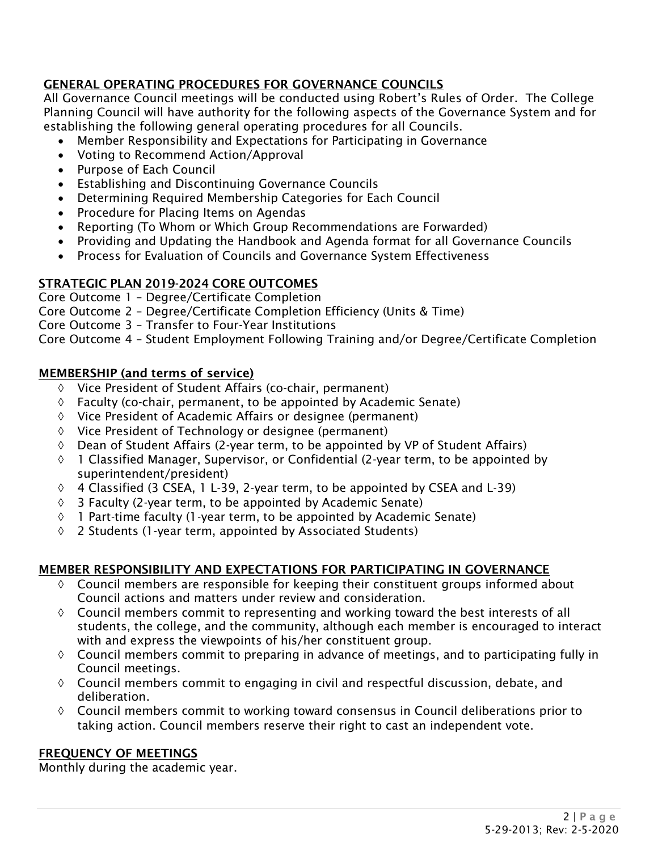# **GENERAL OPERATING PROCEDURES FOR GOVERNANCE COUNCILS**

All Governance Council meetings will be conducted using Robert's Rules of Order. The College Planning Council will have authority for the following aspects of the Governance System and for establishing the following general operating procedures for all Councils.

- Member Responsibility and Expectations for Participating in Governance
- Voting to Recommend Action/Approval
- Purpose of Each Council
- Establishing and Discontinuing Governance Councils
- Determining Required Membership Categories for Each Council
- Procedure for Placing Items on Agendas
- Reporting (To Whom or Which Group Recommendations are Forwarded)
- Providing and Updating the Handbook and Agenda format for all Governance Councils
- Process for Evaluation of Councils and Governance System Effectiveness

# **STRATEGIC PLAN 2019-2024 CORE OUTCOMES**

Core Outcome 1 – Degree/Certificate Completion

Core Outcome 2 – Degree/Certificate Completion Efficiency (Units & Time)

Core Outcome 3 – Transfer to Four-Year Institutions

Core Outcome 4 – Student Employment Following Training and/or Degree/Certificate Completion

## **MEMBERSHIP (and terms of service)**

- $\Diamond$  Vice President of Student Affairs (co-chair, permanent)
- $\Diamond$  Faculty (co-chair, permanent, to be appointed by Academic Senate)
- $\Diamond$  Vice President of Academic Affairs or designee (permanent)
- $\Diamond$  Vice President of Technology or designee (permanent)
- $\Diamond$  Dean of Student Affairs (2-year term, to be appointed by VP of Student Affairs)
- $\Diamond$  1 Classified Manager, Supervisor, or Confidential (2-year term, to be appointed by superintendent/president)
- $\lozenge$  4 Classified (3 CSEA, 1 L-39, 2-year term, to be appointed by CSEA and L-39)
- $\Diamond$  3 Faculty (2-year term, to be appointed by Academic Senate)
- $\Diamond$  1 Part-time faculty (1-year term, to be appointed by Academic Senate)
- $\lozenge$  2 Students (1-year term, appointed by Associated Students)

## **MEMBER RESPONSIBILITY AND EXPECTATIONS FOR PARTICIPATING IN GOVERNANCE**

- $\lozenge$  Council members are responsible for keeping their constituent groups informed about Council actions and matters under review and consideration.
- $\lozenge$  Council members commit to representing and working toward the best interests of all students, the college, and the community, although each member is encouraged to interact with and express the viewpoints of his/her constituent group.
- $\Diamond$  Council members commit to preparing in advance of meetings, and to participating fully in Council meetings.
- $\Diamond$  Council members commit to engaging in civil and respectful discussion, debate, and deliberation.
- $\Diamond$  Council members commit to working toward consensus in Council deliberations prior to taking action. Council members reserve their right to cast an independent vote.

# **FREQUENCY OF MEETINGS**

Monthly during the academic year.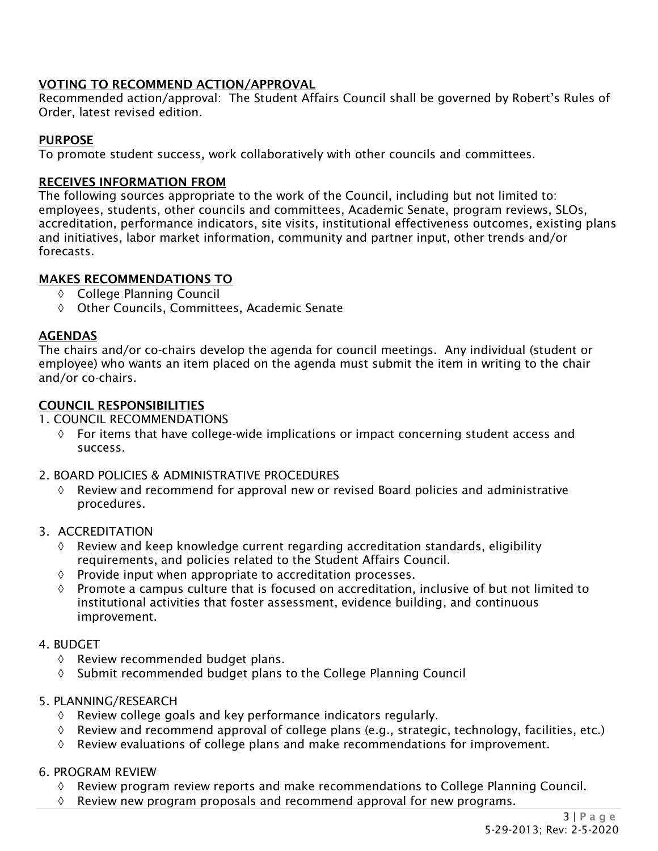# **VOTING TO RECOMMEND ACTION/APPROVAL**

Recommended action/approval: The Student Affairs Council shall be governed by Robert's Rules of Order, latest revised edition.

## **PURPOSE**

To promote student success, work collaboratively with other councils and committees.

## **RECEIVES INFORMATION FROM**

The following sources appropriate to the work of the Council, including but not limited to: employees, students, other councils and committees, Academic Senate, program reviews, SLOs, accreditation, performance indicators, site visits, institutional effectiveness outcomes, existing plans and initiatives, labor market information, community and partner input, other trends and/or forecasts.

## **MAKES RECOMMENDATIONS TO**

- College Planning Council
- Other Councils, Committees, Academic Senate

## **AGENDAS**

The chairs and/or co-chairs develop the agenda for council meetings. Any individual (student or employee) who wants an item placed on the agenda must submit the item in writing to the chair and/or co-chairs.

## **COUNCIL RESPONSIBILITIES**

- 1. COUNCIL RECOMMENDATIONS
	- $\Diamond$  For items that have college-wide implications or impact concerning student access and success.

## 2. BOARD POLICIES & ADMINISTRATIVE PROCEDURES

 $\Diamond$  Review and recommend for approval new or revised Board policies and administrative procedures.

## 3. ACCREDITATION

- $\Diamond$  Review and keep knowledge current regarding accreditation standards, eligibility requirements, and policies related to the Student Affairs Council.
- $\Diamond$  Provide input when appropriate to accreditation processes.
- $\Diamond$  Promote a campus culture that is focused on accreditation, inclusive of but not limited to institutional activities that foster assessment, evidence building, and continuous improvement.

## 4. BUDGET

- $\Diamond$  Review recommended budget plans.
- $\lozenge$  Submit recommended budget plans to the College Planning Council

## 5. PLANNING/RESEARCH

- $\Diamond$  Review college goals and key performance indicators regularly.
- $\Diamond$  Review and recommend approval of college plans (e.g., strategic, technology, facilities, etc.)
- $\Diamond$  Review evaluations of college plans and make recommendations for improvement.

#### 6. PROGRAM REVIEW

- $\Diamond$  Review program review reports and make recommendations to College Planning Council.
- $\Diamond$  Review new program proposals and recommend approval for new programs.